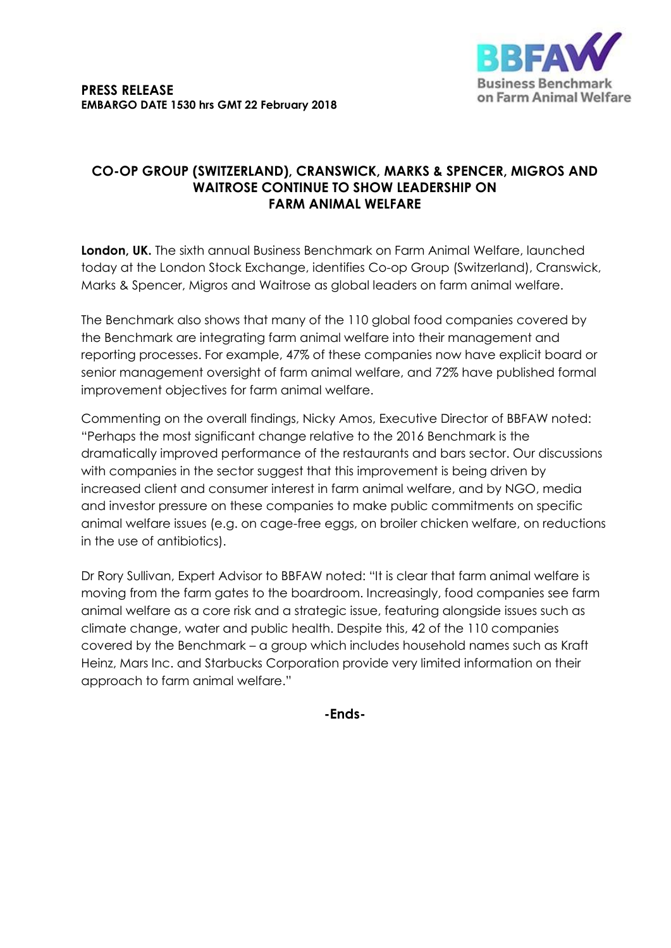

## **CO-OP GROUP (SWITZERLAND), CRANSWICK, MARKS & SPENCER, MIGROS AND WAITROSE CONTINUE TO SHOW LEADERSHIP ON FARM ANIMAL WELFARE**

**London, UK.** The sixth annual Business Benchmark on Farm Animal Welfare, launched today at the London Stock Exchange, identifies Co-op Group (Switzerland), Cranswick, Marks & Spencer, Migros and Waitrose as global leaders on farm animal welfare.

The Benchmark also shows that many of the 110 global food companies covered by the Benchmark are integrating farm animal welfare into their management and reporting processes. For example, 47% of these companies now have explicit board or senior management oversight of farm animal welfare, and 72% have published formal improvement objectives for farm animal welfare.

Commenting on the overall findings, Nicky Amos, Executive Director of BBFAW noted: "Perhaps the most significant change relative to the 2016 Benchmark is the dramatically improved performance of the restaurants and bars sector. Our discussions with companies in the sector suggest that this improvement is being driven by increased client and consumer interest in farm animal welfare, and by NGO, media and investor pressure on these companies to make public commitments on specific animal welfare issues (e.g. on cage-free eggs, on broiler chicken welfare, on reductions in the use of antibiotics).

Dr Rory Sullivan, Expert Advisor to BBFAW noted: "It is clear that farm animal welfare is moving from the farm gates to the boardroom. Increasingly, food companies see farm animal welfare as a core risk and a strategic issue, featuring alongside issues such as climate change, water and public health. Despite this, 42 of the 110 companies covered by the Benchmark – a group which includes household names such as Kraft Heinz, Mars Inc. and Starbucks Corporation provide very limited information on their approach to farm animal welfare."

**-Ends-**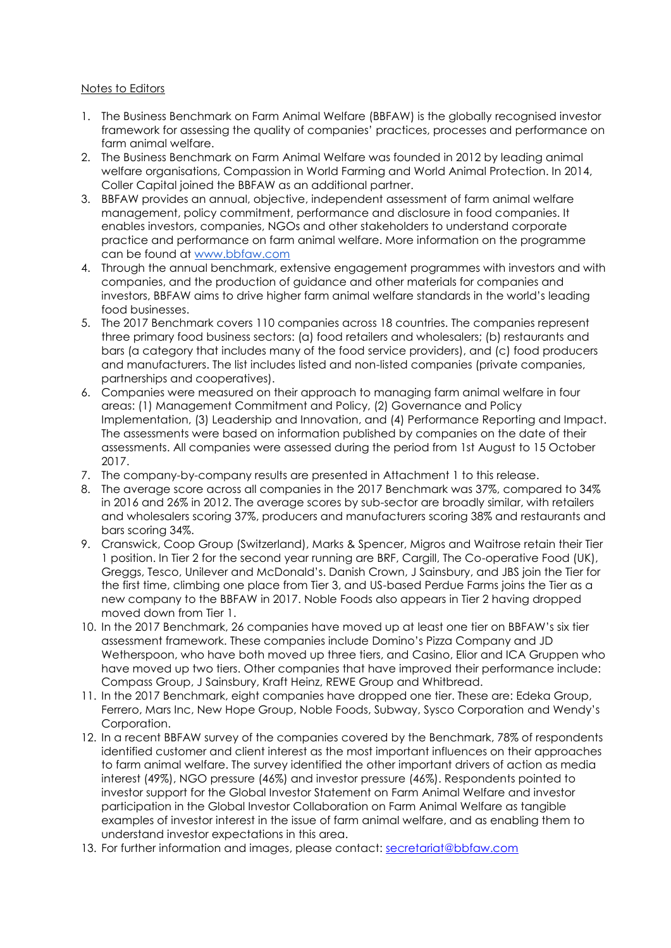## Notes to Editors

- 1. The Business Benchmark on Farm Animal Welfare (BBFAW) is the globally recognised investor framework for assessing the quality of companies' practices, processes and performance on farm animal welfare.
- 2. The Business Benchmark on Farm Animal Welfare was founded in 2012 by leading animal welfare organisations, Compassion in World Farming and World Animal Protection. In 2014, Coller Capital joined the BBFAW as an additional partner.
- 3. BBFAW provides an annual, objective, independent assessment of farm animal welfare management, policy commitment, performance and disclosure in food companies. It enables investors, companies, NGOs and other stakeholders to understand corporate practice and performance on farm animal welfare. More information on the programme can be found at [www.bbfaw.com](http://www.bbfaw.com/)
- 4. Through the annual benchmark, extensive engagement programmes with investors and with companies, and the production of guidance and other materials for companies and investors, BBFAW aims to drive higher farm animal welfare standards in the world's leading food businesses.
- 5. The 2017 Benchmark covers 110 companies across 18 countries. The companies represent three primary food business sectors: (a) food retailers and wholesalers; (b) restaurants and bars (a category that includes many of the food service providers), and (c) food producers and manufacturers. The list includes listed and non-listed companies (private companies, partnerships and cooperatives).
- 6. Companies were measured on their approach to managing farm animal welfare in four areas: (1) Management Commitment and Policy, (2) Governance and Policy Implementation, (3) Leadership and Innovation, and (4) Performance Reporting and Impact. The assessments were based on information published by companies on the date of their assessments. All companies were assessed during the period from 1st August to 15 October 2017.
- 7. The company-by-company results are presented in Attachment 1 to this release.
- 8. The average score across all companies in the 2017 Benchmark was 37%, compared to 34% in 2016 and 26% in 2012. The average scores by sub-sector are broadly similar, with retailers and wholesalers scoring 37%, producers and manufacturers scoring 38% and restaurants and bars scoring 34%.
- 9. Cranswick, Coop Group (Switzerland), Marks & Spencer, Migros and Waitrose retain their Tier 1 position. In Tier 2 for the second year running are BRF, Cargill, The Co-operative Food (UK), Greggs, Tesco, Unilever and McDonald's. Danish Crown, J Sainsbury, and JBS join the Tier for the first time, climbing one place from Tier 3, and US-based Perdue Farms joins the Tier as a new company to the BBFAW in 2017. Noble Foods also appears in Tier 2 having dropped moved down from Tier 1.
- 10. In the 2017 Benchmark, 26 companies have moved up at least one tier on BBFAW's six tier assessment framework. These companies include Domino's Pizza Company and JD Wetherspoon, who have both moved up three tiers, and Casino, Elior and ICA Gruppen who have moved up two tiers. Other companies that have improved their performance include: Compass Group, J Sainsbury, Kraft Heinz, REWE Group and Whitbread.
- 11. In the 2017 Benchmark, eight companies have dropped one tier. These are: Edeka Group, Ferrero, Mars Inc, New Hope Group, Noble Foods, Subway, Sysco Corporation and Wendy's Corporation.
- 12. In a recent BBFAW survey of the companies covered by the Benchmark, 78% of respondents identified customer and client interest as the most important influences on their approaches to farm animal welfare. The survey identified the other important drivers of action as media interest (49%), NGO pressure (46%) and investor pressure (46%). Respondents pointed to investor support for the Global Investor Statement on Farm Animal Welfare and investor participation in the Global Investor Collaboration on Farm Animal Welfare as tangible examples of investor interest in the issue of farm animal welfare, and as enabling them to understand investor expectations in this area.
- 13. For further information and images, please contact: [secretariat@bbfaw.com](mailto:secretariat@bbfaw.com)